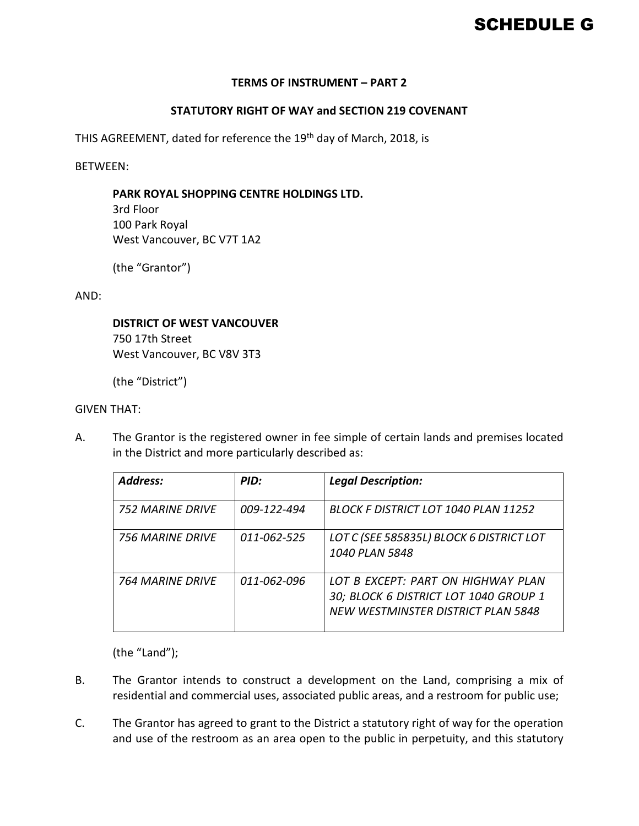# SCHEDULE G

#### **TERMS OF INSTRUMENT – PART 2**

### **STATUTORY RIGHT OF WAY and SECTION 219 COVENANT**

THIS AGREEMENT, dated for reference the 19<sup>th</sup> day of March, 2018, is

BETWEEN:

#### **PARK ROYAL SHOPPING CENTRE HOLDINGS LTD.**

3rd Floor 100 Park Royal West Vancouver, BC V7T 1A2

(the "Grantor")

AND:

#### **DISTRICT OF WEST VANCOUVER**

750 17th Street West Vancouver, BC V8V 3T3

(the "District")

#### GIVEN THAT:

A. The Grantor is the registered owner in fee simple of certain lands and premises located in the District and more particularly described as:

| <b>Address:</b>  | PID:        | <b>Legal Description:</b>                                                                                         |
|------------------|-------------|-------------------------------------------------------------------------------------------------------------------|
| 752 MARINF DRIVF | 009-122-494 | BLOCK F DISTRICT LOT 1040 PLAN 11252                                                                              |
| 756 MARINF DRIVF | 011-062-525 | LOT C (SEE 585835L) BLOCK 6 DISTRICT LOT<br>1040 PLAN 5848                                                        |
| 764 MARINF DRIVF | 011-062-096 | LOT B EXCEPT: PART ON HIGHWAY PLAN<br>30; BLOCK 6 DISTRICT LOT 1040 GROUP 1<br>NEW WESTMINSTER DISTRICT PLAN 5848 |

(the "Land");

- B. The Grantor intends to construct a development on the Land, comprising a mix of residential and commercial uses, associated public areas, and a restroom for public use;
- C. The Grantor has agreed to grant to the District a statutory right of way for the operation and use of the restroom as an area open to the public in perpetuity, and this statutory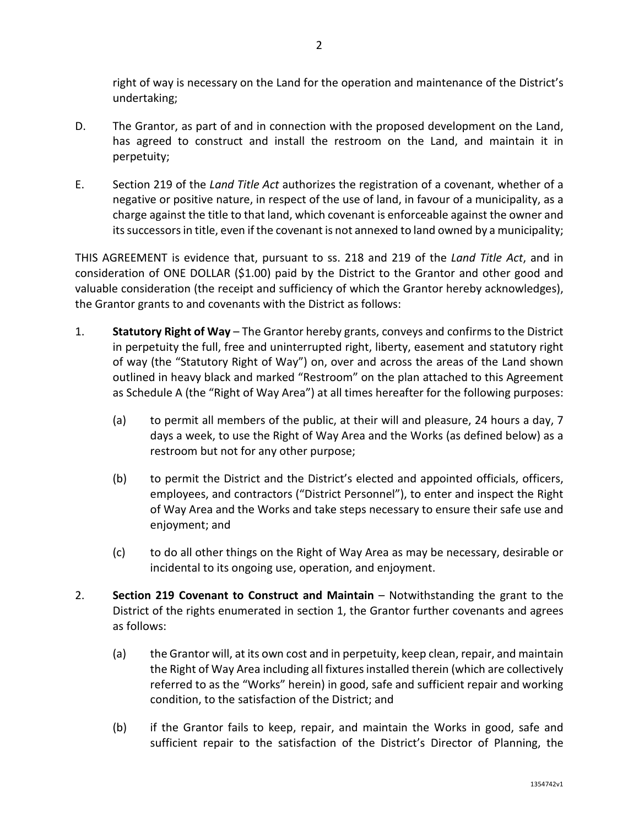right of way is necessary on the Land for the operation and maintenance of the District's undertaking;

- D. The Grantor, as part of and in connection with the proposed development on the Land, has agreed to construct and install the restroom on the Land, and maintain it in perpetuity;
- E. Section 219 of the *Land Title Act* authorizes the registration of a covenant, whether of a negative or positive nature, in respect of the use of land, in favour of a municipality, as a charge against the title to that land, which covenant is enforceable against the owner and its successors in title, even if the covenant is not annexed to land owned by a municipality;

THIS AGREEMENT is evidence that, pursuant to ss. 218 and 219 of the *Land Title Act*, and in consideration of ONE DOLLAR (\$1.00) paid by the District to the Grantor and other good and valuable consideration (the receipt and sufficiency of which the Grantor hereby acknowledges), the Grantor grants to and covenants with the District as follows:

- 1. **Statutory Right of Way** The Grantor hereby grants, conveys and confirms to the District in perpetuity the full, free and uninterrupted right, liberty, easement and statutory right of way (the "Statutory Right of Way") on, over and across the areas of the Land shown outlined in heavy black and marked "Restroom" on the plan attached to this Agreement as Schedule A (the "Right of Way Area") at all times hereafter for the following purposes:
	- (a) to permit all members of the public, at their will and pleasure, 24 hours a day, 7 days a week, to use the Right of Way Area and the Works (as defined below) as a restroom but not for any other purpose;
	- (b) to permit the District and the District's elected and appointed officials, officers, employees, and contractors ("District Personnel"), to enter and inspect the Right of Way Area and the Works and take steps necessary to ensure their safe use and enjoyment; and
	- (c) to do all other things on the Right of Way Area as may be necessary, desirable or incidental to its ongoing use, operation, and enjoyment.
- 2. **Section 219 Covenant to Construct and Maintain** Notwithstanding the grant to the District of the rights enumerated in section 1, the Grantor further covenants and agrees as follows:
	- (a) the Grantor will, at its own cost and in perpetuity, keep clean, repair, and maintain the Right of Way Area including all fixtures installed therein (which are collectively referred to as the "Works" herein) in good, safe and sufficient repair and working condition, to the satisfaction of the District; and
	- (b) if the Grantor fails to keep, repair, and maintain the Works in good, safe and sufficient repair to the satisfaction of the District's Director of Planning, the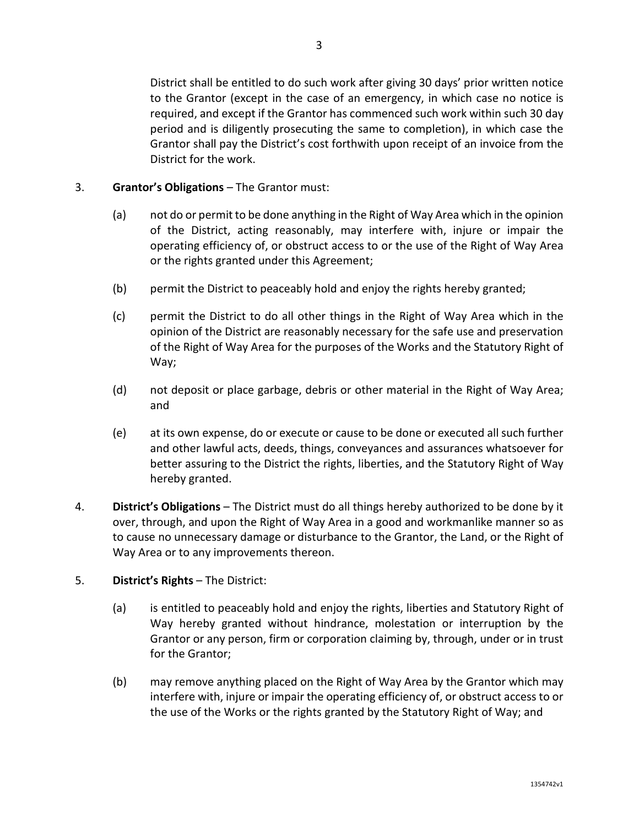District shall be entitled to do such work after giving 30 days' prior written notice to the Grantor (except in the case of an emergency, in which case no notice is required, and except if the Grantor has commenced such work within such 30 day period and is diligently prosecuting the same to completion), in which case the Grantor shall pay the District's cost forthwith upon receipt of an invoice from the District for the work.

# 3. **Grantor's Obligations** – The Grantor must:

- (a) not do or permit to be done anything in the Right of Way Area which in the opinion of the District, acting reasonably, may interfere with, injure or impair the operating efficiency of, or obstruct access to or the use of the Right of Way Area or the rights granted under this Agreement;
- (b) permit the District to peaceably hold and enjoy the rights hereby granted;
- (c) permit the District to do all other things in the Right of Way Area which in the opinion of the District are reasonably necessary for the safe use and preservation of the Right of Way Area for the purposes of the Works and the Statutory Right of Way;
- (d) not deposit or place garbage, debris or other material in the Right of Way Area; and
- (e) at its own expense, do or execute or cause to be done or executed all such further and other lawful acts, deeds, things, conveyances and assurances whatsoever for better assuring to the District the rights, liberties, and the Statutory Right of Way hereby granted.
- 4. **District's Obligations** The District must do all things hereby authorized to be done by it over, through, and upon the Right of Way Area in a good and workmanlike manner so as to cause no unnecessary damage or disturbance to the Grantor, the Land, or the Right of Way Area or to any improvements thereon.

# 5. **District's Rights** – The District:

- (a) is entitled to peaceably hold and enjoy the rights, liberties and Statutory Right of Way hereby granted without hindrance, molestation or interruption by the Grantor or any person, firm or corporation claiming by, through, under or in trust for the Grantor;
- (b) may remove anything placed on the Right of Way Area by the Grantor which may interfere with, injure or impair the operating efficiency of, or obstruct access to or the use of the Works or the rights granted by the Statutory Right of Way; and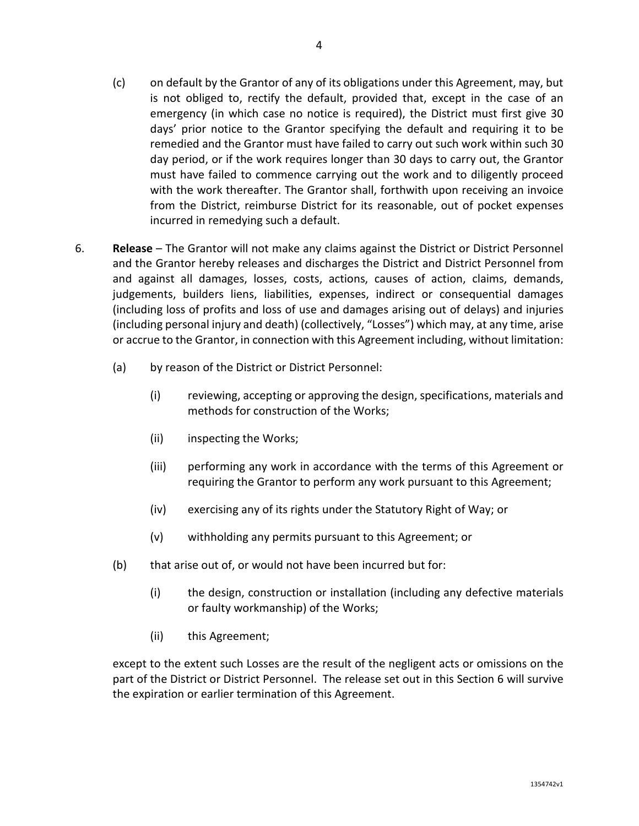- (c) on default by the Grantor of any of its obligations under this Agreement, may, but is not obliged to, rectify the default, provided that, except in the case of an emergency (in which case no notice is required), the District must first give 30 days' prior notice to the Grantor specifying the default and requiring it to be remedied and the Grantor must have failed to carry out such work within such 30 day period, or if the work requires longer than 30 days to carry out, the Grantor must have failed to commence carrying out the work and to diligently proceed with the work thereafter. The Grantor shall, forthwith upon receiving an invoice from the District, reimburse District for its reasonable, out of pocket expenses incurred in remedying such a default.
- 6. **Release** The Grantor will not make any claims against the District or District Personnel and the Grantor hereby releases and discharges the District and District Personnel from and against all damages, losses, costs, actions, causes of action, claims, demands, judgements, builders liens, liabilities, expenses, indirect or consequential damages (including loss of profits and loss of use and damages arising out of delays) and injuries (including personal injury and death) (collectively, "Losses") which may, at any time, arise or accrue to the Grantor, in connection with this Agreement including, without limitation:
	- (a) by reason of the District or District Personnel:
		- (i) reviewing, accepting or approving the design, specifications, materials and methods for construction of the Works;
		- (ii) inspecting the Works;
		- (iii) performing any work in accordance with the terms of this Agreement or requiring the Grantor to perform any work pursuant to this Agreement;
		- (iv) exercising any of its rights under the Statutory Right of Way; or
		- (v) withholding any permits pursuant to this Agreement; or
	- (b) that arise out of, or would not have been incurred but for:
		- (i) the design, construction or installation (including any defective materials or faulty workmanship) of the Works;
		- (ii) this Agreement;

except to the extent such Losses are the result of the negligent acts or omissions on the part of the District or District Personnel. The release set out in this Section 6 will survive the expiration or earlier termination of this Agreement.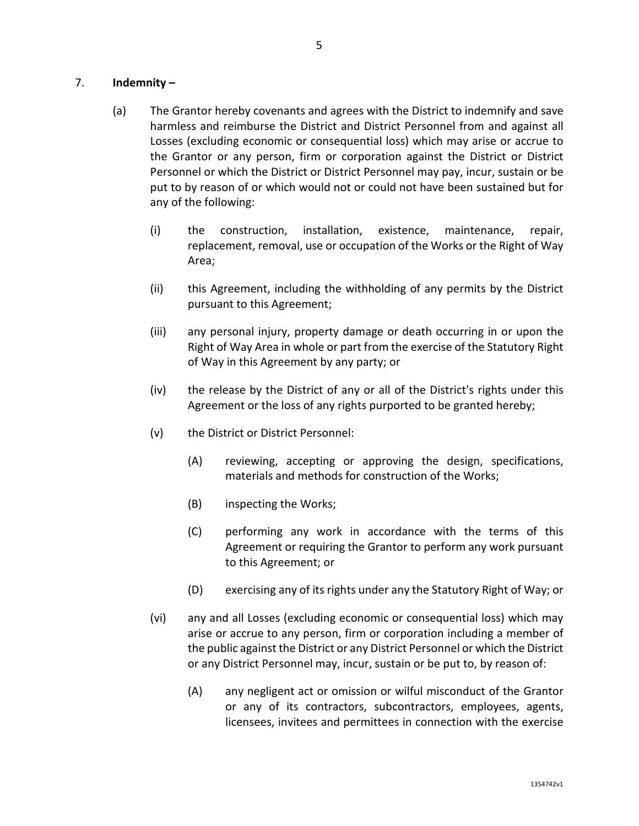# 7. **Indemnity –**

- (a) The Grantor hereby covenants and agrees with the District to indemnify and save harmless and reimburse the District and District Personnel from and against all Losses (excluding economic or consequential loss) which may arise or accrue to the Grantor or any person, firm or corporation against the District or District Personnel or which the District or District Personnel may pay, incur, sustain or be put to by reason of or which would not or could not have been sustained but for any of the following:
	- (i) the construction, installation, existence, maintenance, repair, replacement, removal, use or occupation of the Works or the Right of Way Area;
	- (ii) this Agreement, including the withholding of any permits by the District pursuant to this Agreement;
	- (iii) any personal injury, property damage or death occurring in or upon the Right of Way Area in whole or part from the exercise of the Statutory Right of Way in this Agreement by any party; or
	- (iv) the release by the District of any or all of the District's rights under this Agreement or the loss of any rights purported to be granted hereby;
	- (v) the District or District Personnel:
		- (A) reviewing, accepting or approving the design, specifications, materials and methods for construction of the Works;
		- (B) inspecting the Works;
		- (C) performing any work in accordance with the terms of this Agreement or requiring the Grantor to perform any work pursuant to this Agreement; or
		- (D) exercising any of its rights under any the Statutory Right of Way; or
	- (vi) any and all Losses (excluding economic or consequential loss) which may arise or accrue to any person, firm or corporation including a member of the public against the District or any District Personnel or which the District or any District Personnel may, incur, sustain or be put to, by reason of:
		- (A) any negligent act or omission or wilful misconduct of the Grantor or any of its contractors, subcontractors, employees, agents, licensees, invitees and permittees in connection with the exercise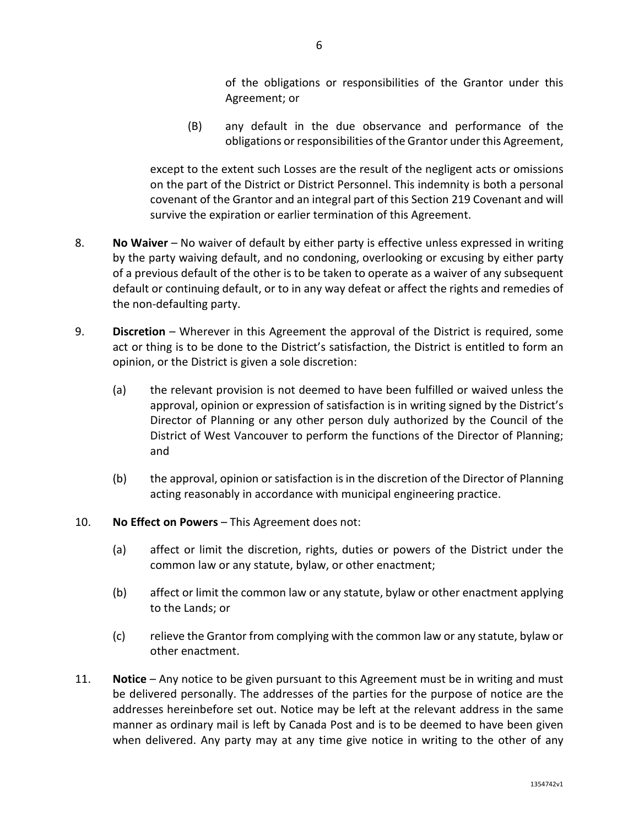of the obligations or responsibilities of the Grantor under this Agreement; or

(B) any default in the due observance and performance of the obligations or responsibilities of the Grantor under this Agreement,

except to the extent such Losses are the result of the negligent acts or omissions on the part of the District or District Personnel. This indemnity is both a personal covenant of the Grantor and an integral part of this Section 219 Covenant and will survive the expiration or earlier termination of this Agreement.

- 8. **No Waiver** No waiver of default by either party is effective unless expressed in writing by the party waiving default, and no condoning, overlooking or excusing by either party of a previous default of the other is to be taken to operate as a waiver of any subsequent default or continuing default, or to in any way defeat or affect the rights and remedies of the non-defaulting party.
- 9. **Discretion** Wherever in this Agreement the approval of the District is required, some act or thing is to be done to the District's satisfaction, the District is entitled to form an opinion, or the District is given a sole discretion:
	- (a) the relevant provision is not deemed to have been fulfilled or waived unless the approval, opinion or expression of satisfaction is in writing signed by the District's Director of Planning or any other person duly authorized by the Council of the District of West Vancouver to perform the functions of the Director of Planning; and
	- (b) the approval, opinion or satisfaction is in the discretion of the Director of Planning acting reasonably in accordance with municipal engineering practice.
- 10. **No Effect on Powers** This Agreement does not:
	- (a) affect or limit the discretion, rights, duties or powers of the District under the common law or any statute, bylaw, or other enactment;
	- (b) affect or limit the common law or any statute, bylaw or other enactment applying to the Lands; or
	- (c) relieve the Grantor from complying with the common law or any statute, bylaw or other enactment.
- 11. **Notice** Any notice to be given pursuant to this Agreement must be in writing and must be delivered personally. The addresses of the parties for the purpose of notice are the addresses hereinbefore set out. Notice may be left at the relevant address in the same manner as ordinary mail is left by Canada Post and is to be deemed to have been given when delivered. Any party may at any time give notice in writing to the other of any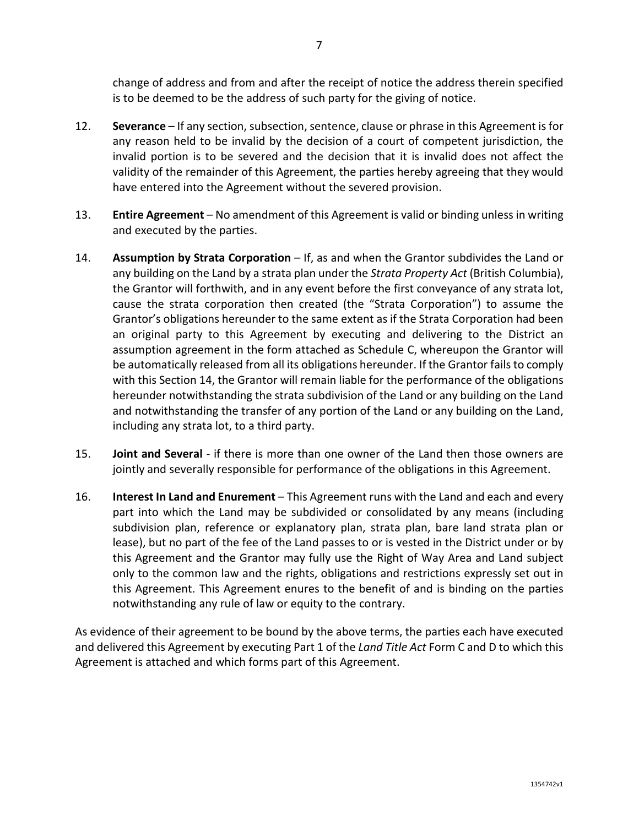12. **Severance** – If any section, subsection, sentence, clause or phrase in this Agreement isfor any reason held to be invalid by the decision of a court of competent jurisdiction, the invalid portion is to be severed and the decision that it is invalid does not affect the validity of the remainder of this Agreement, the parties hereby agreeing that they would have entered into the Agreement without the severed provision.

is to be deemed to be the address of such party for the giving of notice.

- 13. **Entire Agreement** No amendment of this Agreement is valid or binding unless in writing and executed by the parties.
- 14. **Assumption by Strata Corporation** If, as and when the Grantor subdivides the Land or any building on the Land by a strata plan under the *Strata Property Act* (British Columbia), the Grantor will forthwith, and in any event before the first conveyance of any strata lot, cause the strata corporation then created (the "Strata Corporation") to assume the Grantor's obligations hereunder to the same extent as if the Strata Corporation had been an original party to this Agreement by executing and delivering to the District an assumption agreement in the form attached as Schedule C, whereupon the Grantor will be automatically released from all its obligations hereunder. If the Grantor fails to comply with this Section 14, the Grantor will remain liable for the performance of the obligations hereunder notwithstanding the strata subdivision of the Land or any building on the Land and notwithstanding the transfer of any portion of the Land or any building on the Land, including any strata lot, to a third party.
- 15. **Joint and Several** if there is more than one owner of the Land then those owners are jointly and severally responsible for performance of the obligations in this Agreement.
- 16. **Interest In Land and Enurement** This Agreement runs with the Land and each and every part into which the Land may be subdivided or consolidated by any means (including subdivision plan, reference or explanatory plan, strata plan, bare land strata plan or lease), but no part of the fee of the Land passes to or is vested in the District under or by this Agreement and the Grantor may fully use the Right of Way Area and Land subject only to the common law and the rights, obligations and restrictions expressly set out in this Agreement. This Agreement enures to the benefit of and is binding on the parties notwithstanding any rule of law or equity to the contrary.

As evidence of their agreement to be bound by the above terms, the parties each have executed and delivered this Agreement by executing Part 1 of the *Land Title Act* Form C and D to which this Agreement is attached and which forms part of this Agreement.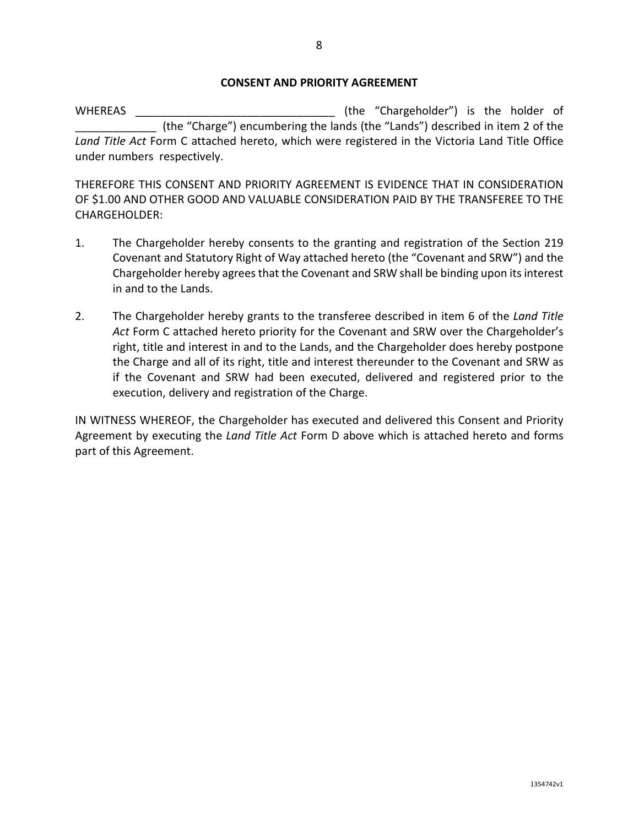#### **CONSENT AND PRIORITY AGREEMENT**

WHEREAS \_\_\_\_\_\_\_\_\_\_\_\_\_\_\_\_\_\_\_\_\_\_\_\_\_\_\_\_\_\_\_\_ (the "Chargeholder") is the holder of (the "Charge") encumbering the lands (the "Lands") described in item 2 of the *Land Title Act* Form C attached hereto, which were registered in the Victoria Land Title Office under numbers respectively.

THEREFORE THIS CONSENT AND PRIORITY AGREEMENT IS EVIDENCE THAT IN CONSIDERATION OF \$1.00 AND OTHER GOOD AND VALUABLE CONSIDERATION PAID BY THE TRANSFEREE TO THE CHARGEHOLDER:

- 1. The Chargeholder hereby consents to the granting and registration of the Section 219 Covenant and Statutory Right of Way attached hereto (the "Covenant and SRW") and the Chargeholder hereby agrees that the Covenant and SRW shall be binding upon its interest in and to the Lands.
- 2. The Chargeholder hereby grants to the transferee described in item 6 of the *Land Title Act* Form C attached hereto priority for the Covenant and SRW over the Chargeholder's right, title and interest in and to the Lands, and the Chargeholder does hereby postpone the Charge and all of its right, title and interest thereunder to the Covenant and SRW as if the Covenant and SRW had been executed, delivered and registered prior to the execution, delivery and registration of the Charge.

IN WITNESS WHEREOF, the Chargeholder has executed and delivered this Consent and Priority Agreement by executing the *Land Title Act* Form D above which is attached hereto and forms part of this Agreement.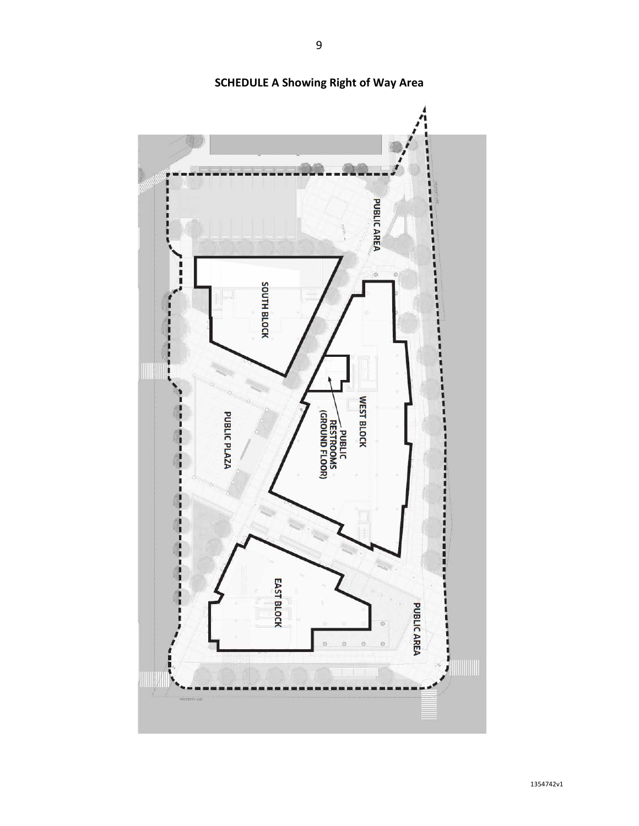

**SCHEDULE A Showing Right of Way Area**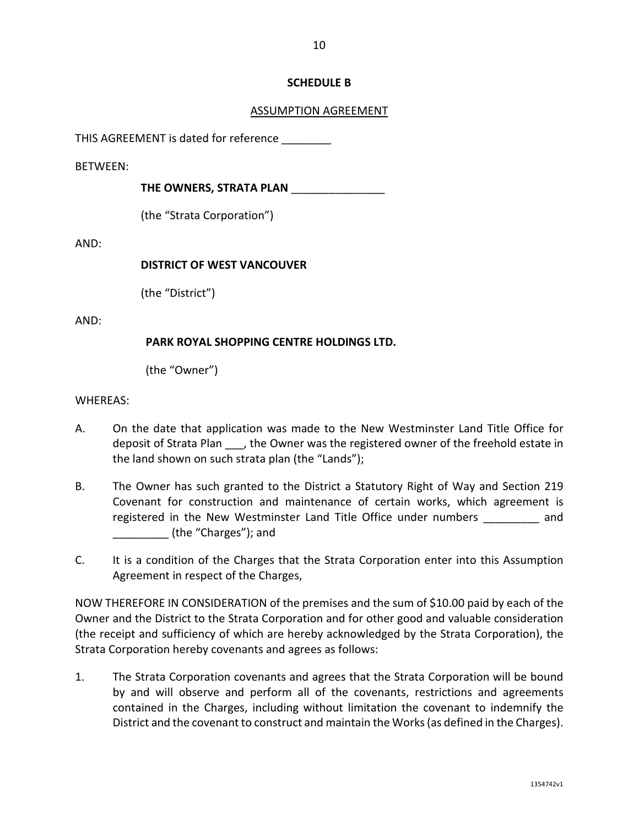# **SCHEDULE B**

# ASSUMPTION AGREEMENT

THIS AGREEMENT is dated for reference

BETWEEN:

**THE OWNERS, STRATA PLAN** \_\_\_\_\_\_\_\_\_\_\_\_\_\_\_

(the "Strata Corporation")

AND:

### **DISTRICT OF WEST VANCOUVER**

(the "District")

AND:

# **PARK ROYAL SHOPPING CENTRE HOLDINGS LTD.**

(the "Owner")

### WHEREAS:

- A. On the date that application was made to the New Westminster Land Title Office for deposit of Strata Plan , the Owner was the registered owner of the freehold estate in the land shown on such strata plan (the "Lands");
- B. The Owner has such granted to the District a Statutory Right of Way and Section 219 Covenant for construction and maintenance of certain works, which agreement is registered in the New Westminster Land Title Office under numbers and \_\_\_\_\_\_\_\_\_ (the "Charges"); and
- C. It is a condition of the Charges that the Strata Corporation enter into this Assumption Agreement in respect of the Charges,

NOW THEREFORE IN CONSIDERATION of the premises and the sum of \$10.00 paid by each of the Owner and the District to the Strata Corporation and for other good and valuable consideration (the receipt and sufficiency of which are hereby acknowledged by the Strata Corporation), the Strata Corporation hereby covenants and agrees as follows:

1. The Strata Corporation covenants and agrees that the Strata Corporation will be bound by and will observe and perform all of the covenants, restrictions and agreements contained in the Charges, including without limitation the covenant to indemnify the District and the covenant to construct and maintain the Works(as defined in the Charges).